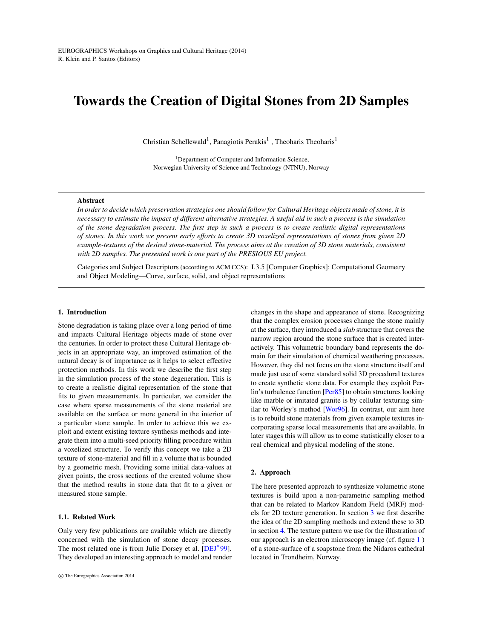# <span id="page-0-0"></span>Towards the Creation of Digital Stones from 2D Samples

Christian Schellewald<sup>1</sup>, Panagiotis Perakis<sup>1</sup>, Theoharis Theoharis<sup>1</sup>

<sup>1</sup>Department of Computer and Information Science, Norwegian University of Science and Technology (NTNU), Norway

#### Abstract

*In order to decide which preservation strategies one should follow for Cultural Heritage objects made of stone, it is necessary to estimate the impact of different alternative strategies. A useful aid in such a process is the simulation of the stone degradation process. The first step in such a process is to create realistic digital representations of stones. In this work we present early efforts to create 3D voxelized representations of stones from given 2D example-textures of the desired stone-material. The process aims at the creation of 3D stone materials, consistent with 2D samples. The presented work is one part of the PRESIOUS EU project.*

Categories and Subject Descriptors (according to ACM CCS): I.3.5 [Computer Graphics]: Computational Geometry and Object Modeling—Curve, surface, solid, and object representations

# 1. Introduction

Stone degradation is taking place over a long period of time and impacts Cultural Heritage objects made of stone over the centuries. In order to protect these Cultural Heritage objects in an appropriate way, an improved estimation of the natural decay is of importance as it helps to select effective protection methods. In this work we describe the first step in the simulation process of the stone degeneration. This is to create a realistic digital representation of the stone that fits to given measurements. In particular, we consider the case where sparse measurements of the stone material are available on the surface or more general in the interior of a particular stone sample. In order to achieve this we exploit and extent existing texture synthesis methods and integrate them into a multi-seed priority filling procedure within a voxelized structure. To verify this concept we take a 2D texture of stone-material and fill in a volume that is bounded by a geometric mesh. Providing some initial data-values at given points, the cross sections of the created volume show that the method results in stone data that fit to a given or measured stone sample.

### 1.1. Related Work

Only very few publications are available which are directly concerned with the simulation of stone decay processes. The most related one is from Julie Dorsey et al. [\[DEJ](#page-3-0)<sup>\*99]</sup>. They developed an interesting approach to model and render changes in the shape and appearance of stone. Recognizing that the complex erosion processes change the stone mainly at the surface, they introduced a *slab* structure that covers the narrow region around the stone surface that is created interactively. This volumetric boundary band represents the domain for their simulation of chemical weathering processes. However, they did not focus on the stone structure itself and made just use of some standard solid 3D procedural textures to create synthetic stone data. For example they exploit Perlin's turbulence function [\[Per85\]](#page-3-1) to obtain structures looking like marble or imitated granite is by cellular texturing similar to Worley's method [\[Wor96\]](#page-3-2). In contrast, our aim here is to rebuild stone materials from given example textures incorporating sparse local measurements that are available. In later stages this will allow us to come statistically closer to a real chemical and physical modeling of the stone.

## 2. Approach

The here presented approach to synthesize volumetric stone textures is build upon a non-parametric sampling method that can be related to Markov Random Field (MRF) models for 2D texture generation. In section [3](#page-1-0) we first describe the idea of the 2D sampling methods and extend these to 3D in section [4.](#page-1-1) The texture pattern we use for the illustration of our approach is an electron microscopy image (cf. figure [1](#page-1-2) ) of a stone-surface of a soapstone from the Nidaros cathedral located in Trondheim, Norway.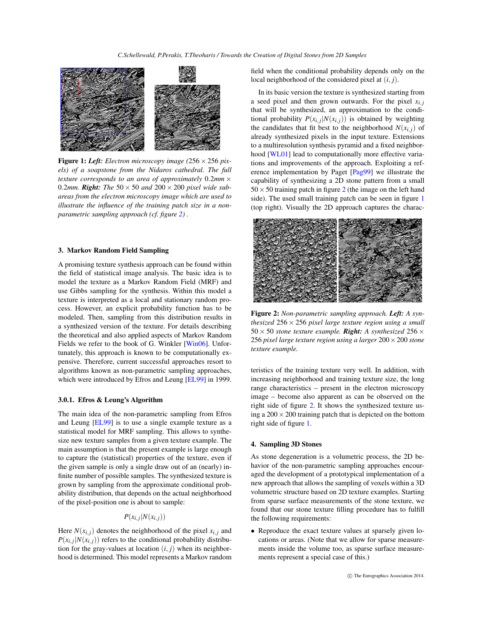<span id="page-1-4"></span>

<span id="page-1-2"></span>Figure 1: *Left: Electron microscopy image (*256×256 *pixels) of a soapstone from the Nidaros cathedral. The full texture corresponds to an area of approximately* 0.2*mm* × 0.2mm. **Right:** The  $50 \times 50$  and  $200 \times 200$  pixel wide sub*areas from the electron microscopy image which are used to illustrate the influence of the training patch size in a nonparametric sampling approach (cf. figure [2\)](#page-1-3) .*

#### <span id="page-1-0"></span>3. Markov Random Field Sampling

A promising texture synthesis approach can be found within the field of statistical image analysis. The basic idea is to model the texture as a Markov Random Field (MRF) and use Gibbs sampling for the synthesis. Within this model a texture is interpreted as a local and stationary random process. However, an explicit probability function has to be modeled. Then, sampling from this distribution results in a synthesized version of the texture. For details describing the theoretical and also applied aspects of Markov Random Fields we refer to the book of G. Winkler [\[Win06\]](#page-3-3). Unfortunately, this approach is known to be computationally expensive. Therefore, current successful approaches resort to algorithms known as non-parametric sampling approaches, which were introduced by Efros and Leung [\[EL99\]](#page-3-4) in 1999.

### 3.0.1. Efros & Leung's Algorithm

The main idea of the non-parametric sampling from Efros and Leung [\[EL99\]](#page-3-4) is to use a single example texture as a statistical model for MRF sampling. This allows to synthesize new texture samples from a given texture example. The main assumption is that the present example is large enough to capture the (statistical) properties of the texture, even if the given sample is only a single draw out of an (nearly) infinite number of possible samples. The synthesized texture is grown by sampling from the approximate conditional probability distribution, that depends on the actual neighborhood of the pixel-position one is about to sample:

$$
P(x_{i,j}|N(x_{i,j}))
$$

Here  $N(x_{i,j})$  denotes the neighborhood of the pixel  $x_{i,j}$  and  $P(x_{i,j}|N(x_{i,j}))$  refers to the conditional probability distribution for the gray-values at location  $(i, j)$  when its neighborhood is determined. This model represents a Markov random

field when the conditional probability depends only on the local neighborhood of the considered pixel at (*i*, *j*).

In its basic version the texture is synthesized starting from a seed pixel and then grown outwards. For the pixel  $x_{i,j}$ that will be synthesized, an approximation to the conditional probability  $P(x_{i,j}|N(x_{i,j}))$  is obtained by weighting the candidates that fit best to the neighborhood  $N(x_i, j)$  of already synthesized pixels in the input texture. Extensions to a multiresolution synthesis pyramid and a fixed neighborhood [\[WL01\]](#page-3-5) lead to computationally more effective variations and improvements of the approach. Exploiting a reference implementation by Paget [\[Pag99\]](#page-3-6) we illustrate the capability of synthesizing a 2D stone pattern from a small  $50 \times 50$  training patch in figure [2](#page-1-3) (the image on the left hand side). The used small training patch can be seen in figure [1](#page-1-2) (top right). Visually the 2D approach captures the charac-



Figure 2: *Non-parametric sampling approach. Left: A synthesized* 256 × 256 *pixel large texture region using a small*  $50 \times 50$  *stone texture example. Right: A synthesized*  $256 \times$ 256 *pixel large texture region using a larger* 200×200 *stone texture example.*

<span id="page-1-3"></span>teristics of the training texture very well. In addition, with increasing neighborhood and training texture size, the long range characteristics – present in the electron microscopy image – become also apparent as can be observed on the right side of figure [2.](#page-1-3) It shows the synthesized texture using a  $200 \times 200$  training patch that is depicted on the bottom right side of figure [1.](#page-1-2)

#### <span id="page-1-1"></span>4. Sampling 3D Stones

As stone degeneration is a volumetric process, the 2D behavior of the non-parametric sampling approaches encouraged the development of a prototypical implementation of a new approach that allows the sampling of voxels within a 3D volumetric structure based on 2D texture examples. Starting from sparse surface measurements of the stone texture, we found that our stone texture filling procedure has to fulfill the following requirements:

• Reproduce the exact texture values at sparsely given locations or areas. (Note that we allow for sparse measurements inside the volume too, as sparse surface measurements represent a special case of this.)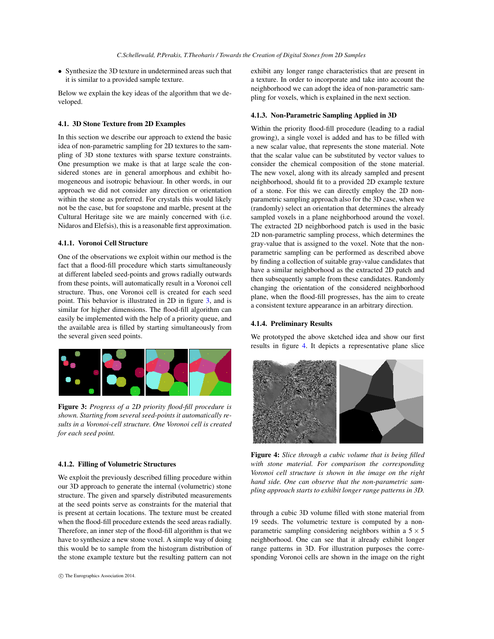• Synthesize the 3D texture in undetermined areas such that it is similar to a provided sample texture.

Below we explain the key ideas of the algorithm that we developed.

## 4.1. 3D Stone Texture from 2D Examples

In this section we describe our approach to extend the basic idea of non-parametric sampling for 2D textures to the sampling of 3D stone textures with sparse texture constraints. One presumption we make is that at large scale the considered stones are in general amorphous and exhibit homogeneous and isotropic behaviour. In other words, in our approach we did not consider any direction or orientation within the stone as preferred. For crystals this would likely not be the case, but for soapstone and marble, present at the Cultural Heritage site we are mainly concerned with (i.e. Nidaros and Elefsis), this is a reasonable first approximation.

## 4.1.1. Voronoi Cell Structure

One of the observations we exploit within our method is the fact that a flood-fill procedure which starts simultaneously at different labeled seed-points and grows radially outwards from these points, will automatically result in a Voronoi cell structure. Thus, one Voronoi cell is created for each seed point. This behavior is illustrated in 2D in figure [3,](#page-2-0) and is similar for higher dimensions. The flood-fill algorithm can easily be implemented with the help of a priority queue, and the available area is filled by starting simultaneously from the several given seed points.

<span id="page-2-0"></span>

Figure 3: *Progress of a 2D priority flood-fill procedure is shown. Starting from several seed-points it automatically results in a Voronoi-cell structure. One Voronoi cell is created for each seed point.*

#### 4.1.2. Filling of Volumetric Structures

We exploit the previously described filling procedure within our 3D approach to generate the internal (volumetric) stone structure. The given and sparsely distributed measurements at the seed points serve as constraints for the material that is present at certain locations. The texture must be created when the flood-fill procedure extends the seed areas radially. Therefore, an inner step of the flood-fill algorithm is that we have to synthesize a new stone voxel. A simple way of doing this would be to sample from the histogram distribution of the stone example texture but the resulting pattern can not exhibit any longer range characteristics that are present in a texture. In order to incorporate and take into account the neighborhood we can adopt the idea of non-parametric sampling for voxels, which is explained in the next section.

## 4.1.3. Non-Parametric Sampling Applied in 3D

Within the priority flood-fill procedure (leading to a radial growing), a single voxel is added and has to be filled with a new scalar value, that represents the stone material. Note that the scalar value can be substituted by vector values to consider the chemical composition of the stone material. The new voxel, along with its already sampled and present neighborhood, should fit to a provided 2D example texture of a stone. For this we can directly employ the 2D nonparametric sampling approach also for the 3D case, when we (randomly) select an orientation that determines the already sampled voxels in a plane neighborhood around the voxel. The extracted 2D neighborhood patch is used in the basic 2D non-parametric sampling process, which determines the gray-value that is assigned to the voxel. Note that the nonparametric sampling can be performed as described above by finding a collection of suitable gray-value candidates that have a similar neighborhood as the extracted 2D patch and then subsequently sample from these candidates. Randomly changing the orientation of the considered neighborhood plane, when the flood-fill progresses, has the aim to create a consistent texture appearance in an arbitrary direction.

## 4.1.4. Preliminary Results

We prototyped the above sketched idea and show our first results in figure [4.](#page-2-1) It depicts a representative plane slice



Figure 4: *Slice through a cubic volume that is being filled with stone material. For comparison the corresponding Voronoi cell structure is shown in the image on the right hand side. One can observe that the non-parametric sampling approach starts to exhibit longer range patterns in 3D.*

<span id="page-2-1"></span>through a cubic 3D volume filled with stone material from 19 seeds. The volumetric texture is computed by a nonparametric sampling considering neighbors within a  $5 \times 5$ neighborhood. One can see that it already exhibit longer range patterns in 3D. For illustration purposes the corresponding Voronoi cells are shown in the image on the right